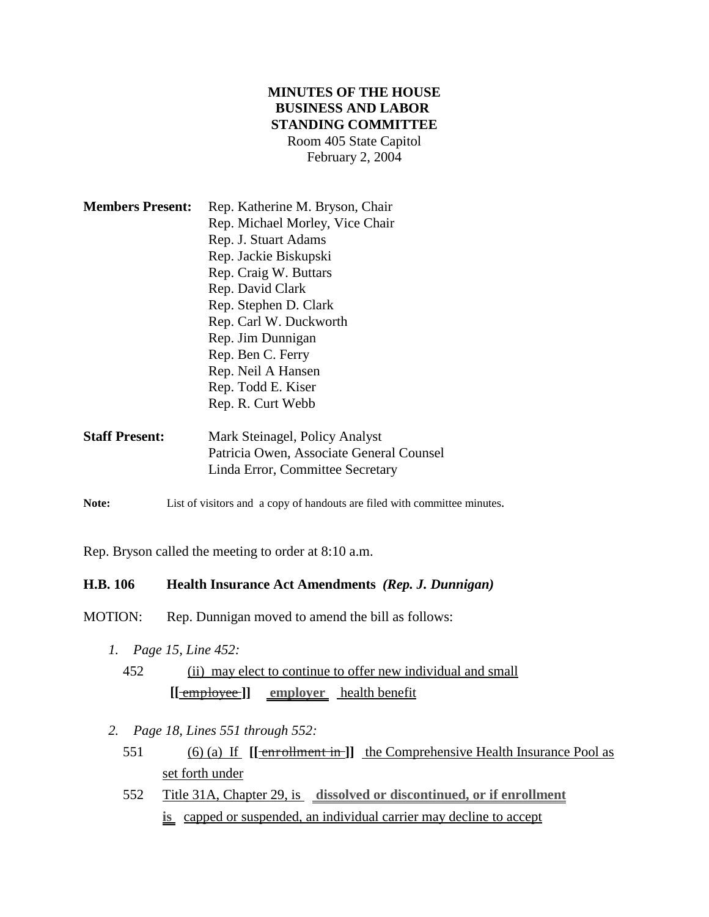# **MINUTES OF THE HOUSE BUSINESS AND LABOR STANDING COMMITTEE** Room 405 State Capitol February 2, 2004

| <b>Members Present:</b> | Rep. Katherine M. Bryson, Chair |
|-------------------------|---------------------------------|
|                         | Rep. Michael Morley, Vice Chair |
|                         | Rep. J. Stuart Adams            |
|                         | Rep. Jackie Biskupski           |
|                         | Rep. Craig W. Buttars           |
|                         | Rep. David Clark                |
|                         | Rep. Stephen D. Clark           |
|                         | Rep. Carl W. Duckworth          |
|                         | Rep. Jim Dunnigan               |
|                         | Rep. Ben C. Ferry               |
|                         | Rep. Neil A Hansen              |
|                         | Rep. Todd E. Kiser              |
|                         | Rep. R. Curt Webb               |
|                         |                                 |

| <b>Staff Present:</b> | Mark Steinagel, Policy Analyst           |
|-----------------------|------------------------------------------|
|                       | Patricia Owen, Associate General Counsel |
|                       | Linda Error, Committee Secretary         |

Note: List of visitors and a copy of handouts are filed with committee minutes.

Rep. Bryson called the meeting to order at 8:10 a.m.

# **H.B. 106 Health Insurance Act Amendments** *(Rep. J. Dunnigan)*

MOTION: Rep. Dunnigan moved to amend the bill as follows:

- *1. Page 15, Line 452:*
	- 452 (ii) may elect to continue to offer new individual and small **[[** employee **]] employer** health benefit
- *2. Page 18, Lines 551 through 552:*
	- 551 (6) (a) If **[[** enrollment in **]]** the Comprehensive Health Insurance Pool as set forth under
	- 552 Title 31A, Chapter 29, is **dissolved or discontinued, or if enrollment is** capped or suspended, an individual carrier may decline to accept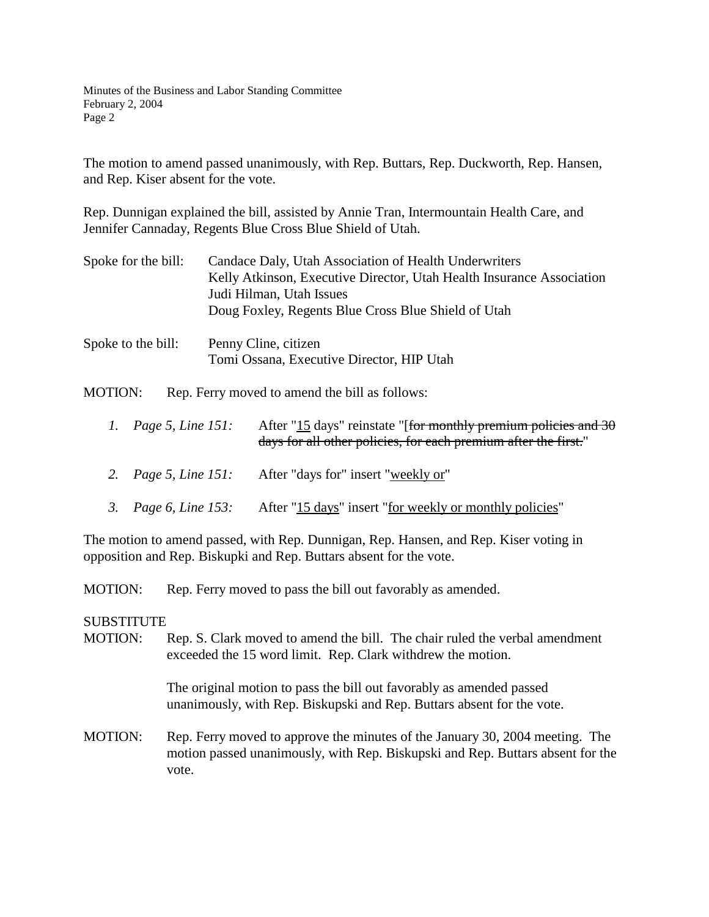Minutes of the Business and Labor Standing Committee February 2, 2004 Page 2

The motion to amend passed unanimously, with Rep. Buttars, Rep. Duckworth, Rep. Hansen, and Rep. Kiser absent for the vote.

Rep. Dunnigan explained the bill, assisted by Annie Tran, Intermountain Health Care, and Jennifer Cannaday, Regents Blue Cross Blue Shield of Utah.

- Spoke for the bill: Candace Daly, Utah Association of Health Underwriters Kelly Atkinson, Executive Director, Utah Health Insurance Association Judi Hilman, Utah Issues Doug Foxley, Regents Blue Cross Blue Shield of Utah
- Spoke to the bill: Penny Cline, citizen Tomi Ossana, Executive Director, HIP Utah

MOTION: Rep. Ferry moved to amend the bill as follows:

- *1. Page 5, Line 151:* After "15 days" reinstate "[<del>for monthly premium policies and 30</del> days for all other policies, for each premium after the first."
- *2. Page 5, Line 151:* After "days for" insert "weekly or"
- *3. Page 6, Line 153:* After "15 days" insert "for weekly or monthly policies"

The motion to amend passed, with Rep. Dunnigan, Rep. Hansen, and Rep. Kiser voting in opposition and Rep. Biskupki and Rep. Buttars absent for the vote.

MOTION: Rep. Ferry moved to pass the bill out favorably as amended.

#### SUBSTITUTE

MOTION: Rep. S. Clark moved to amend the bill. The chair ruled the verbal amendment exceeded the 15 word limit. Rep. Clark withdrew the motion.

> The original motion to pass the bill out favorably as amended passed unanimously, with Rep. Biskupski and Rep. Buttars absent for the vote.

MOTION: Rep. Ferry moved to approve the minutes of the January 30, 2004 meeting. The motion passed unanimously, with Rep. Biskupski and Rep. Buttars absent for the vote.